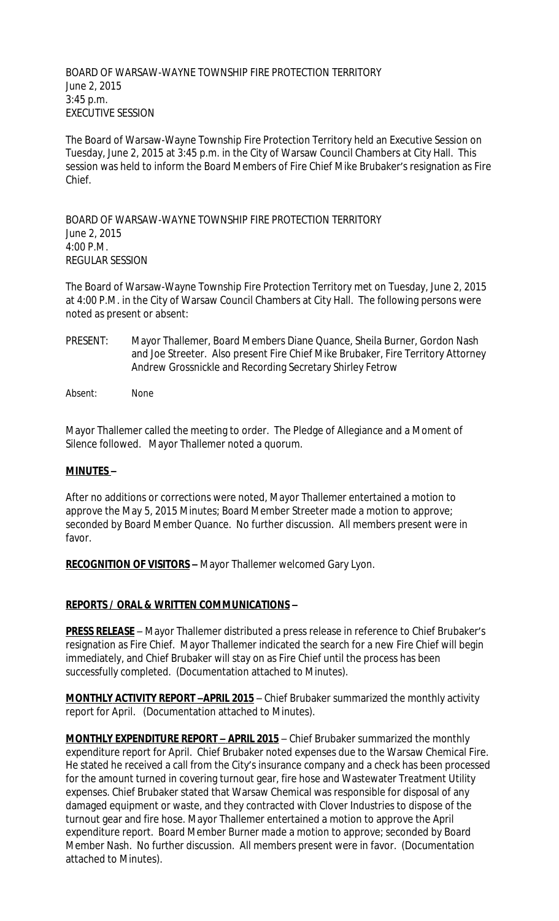BOARD OF WARSAW-WAYNE TOWNSHIP FIRE PROTECTION TERRITORY June 2, 2015 3:45 p.m. EXECUTIVE SESSION

The Board of Warsaw-Wayne Township Fire Protection Territory held an Executive Session on Tuesday, June 2, 2015 at 3:45 p.m. in the City of Warsaw Council Chambers at City Hall. This session was held to inform the Board Members of Fire Chief Mike Brubaker's resignation as Fire Chief.

BOARD OF WARSAW-WAYNE TOWNSHIP FIRE PROTECTION TERRITORY June 2, 2015 4:00 P.M. REGULAR SESSION

The Board of Warsaw-Wayne Township Fire Protection Territory met on Tuesday, June 2, 2015 at 4:00 P.M. in the City of Warsaw Council Chambers at City Hall. The following persons were noted as present or absent:

- PRESENT: Mayor Thallemer, Board Members Diane Quance, Sheila Burner, Gordon Nash and Joe Streeter. Also present Fire Chief Mike Brubaker, Fire Territory Attorney Andrew Grossnickle and Recording Secretary Shirley Fetrow
- Absent: None

Mayor Thallemer called the meeting to order. The Pledge of Allegiance and a Moment of Silence followed. Mayor Thallemer noted a quorum.

## **MINUTES –**

After no additions or corrections were noted, Mayor Thallemer entertained a motion to approve the May 5, 2015 Minutes; Board Member Streeter made a motion to approve; seconded by Board Member Quance. No further discussion. All members present were in favor.

**RECOGNITION OF VISITORS –** Mayor Thallemer welcomed Gary Lyon.

## **REPORTS / ORAL & WRITTEN COMMUNICATIONS –**

**PRESS RELEASE** – Mayor Thallemer distributed a press release in reference to Chief Brubaker's resignation as Fire Chief. Mayor Thallemer indicated the search for a new Fire Chief will begin immediately, and Chief Brubaker will stay on as Fire Chief until the process has been successfully completed. (Documentation attached to Minutes).

**MONTHLY ACTIVITY REPORT -APRIL 2015** - Chief Brubaker summarized the monthly activity report for April. (Documentation attached to Minutes).

**MONTHLY EXPENDITURE REPORT – APRIL 2015** – Chief Brubaker summarized the monthly expenditure report for April. Chief Brubaker noted expenses due to the Warsaw Chemical Fire. He stated he received a call from the City's insurance company and a check has been processed for the amount turned in covering turnout gear, fire hose and Wastewater Treatment Utility expenses. Chief Brubaker stated that Warsaw Chemical was responsible for disposal of any damaged equipment or waste, and they contracted with Clover Industries to dispose of the turnout gear and fire hose. Mayor Thallemer entertained a motion to approve the April expenditure report. Board Member Burner made a motion to approve; seconded by Board Member Nash. No further discussion. All members present were in favor. (Documentation attached to Minutes).